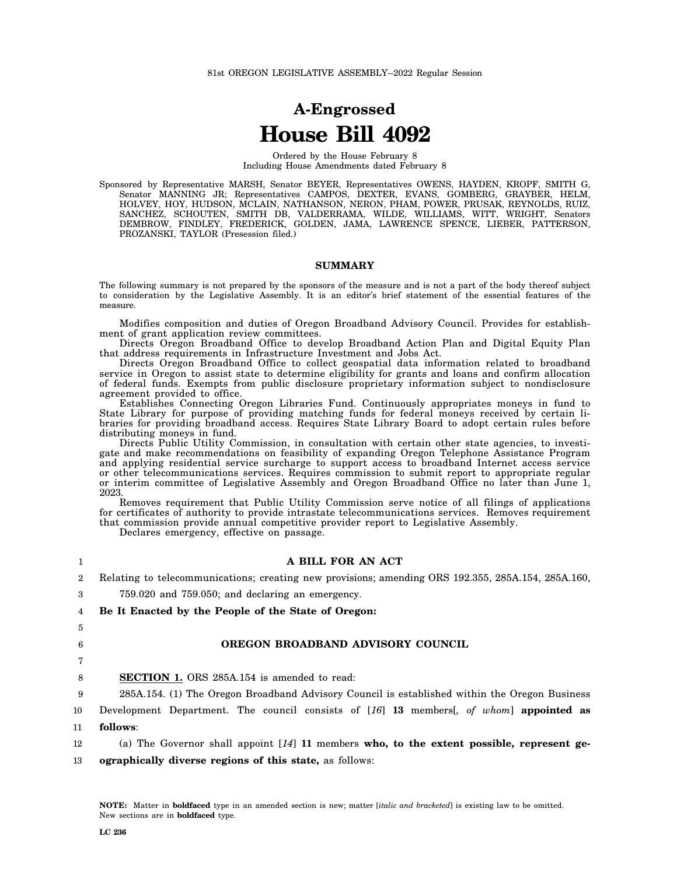# **A-Engrossed House Bill 4092**

Ordered by the House February 8 Including House Amendments dated February 8

Sponsored by Representative MARSH, Senator BEYER, Representatives OWENS, HAYDEN, KROPF, SMITH G, Senator MANNING JR; Representatives CAMPOS, DEXTER, EVANS, GOMBERG, GRAYBER, HELM, HOLVEY, HOY, HUDSON, MCLAIN, NATHANSON, NERON, PHAM, POWER, PRUSAK, REYNOLDS, RUIZ, SANCHEZ, SCHOUTEN, SMITH DB, VALDERRAMA, WILDE, WILLIAMS, WITT, WRIGHT, Senators DEMBROW, FINDLEY, FREDERICK, GOLDEN, JAMA, LAWRENCE SPENCE, LIEBER, PATTERSON, PROZANSKI, TAYLOR (Presession filed.)

#### **SUMMARY**

The following summary is not prepared by the sponsors of the measure and is not a part of the body thereof subject to consideration by the Legislative Assembly. It is an editor's brief statement of the essential features of the measure.

Modifies composition and duties of Oregon Broadband Advisory Council. Provides for establishment of grant application review committees.

Directs Oregon Broadband Office to develop Broadband Action Plan and Digital Equity Plan that address requirements in Infrastructure Investment and Jobs Act.

Directs Oregon Broadband Office to collect geospatial data information related to broadband service in Oregon to assist state to determine eligibility for grants and loans and confirm allocation of federal funds. Exempts from public disclosure proprietary information subject to nondisclosure agreement provided to office.

Establishes Connecting Oregon Libraries Fund. Continuously appropriates moneys in fund to State Library for purpose of providing matching funds for federal moneys received by certain libraries for providing broadband access. Requires State Library Board to adopt certain rules before distributing moneys in fund.

Directs Public Utility Commission, in consultation with certain other state agencies, to investigate and make recommendations on feasibility of expanding Oregon Telephone Assistance Program and applying residential service surcharge to support access to broadband Internet access service or other telecommunications services. Requires commission to submit report to appropriate regular or interim committee of Legislative Assembly and Oregon Broadband Office no later than June 1, 2023.

Removes requirement that Public Utility Commission serve notice of all filings of applications for certificates of authority to provide intrastate telecommunications services. Removes requirement that commission provide annual competitive provider report to Legislative Assembly.

Declares emergency, effective on passage.

| 1              | A BILL FOR AN ACT                                                                                  |
|----------------|----------------------------------------------------------------------------------------------------|
| $\overline{2}$ | Relating to telecommunications; creating new provisions; amending ORS 192.355, 285A.154, 285A.160, |
| 3              | $759.020$ and $759.050$ ; and declaring an emergency.                                              |
| 4              | Be It Enacted by the People of the State of Oregon:                                                |
| 5              |                                                                                                    |
| 6              | OREGON BROADBAND ADVISORY COUNCIL                                                                  |
|                |                                                                                                    |
| 8              | <b>SECTION 1.</b> ORS 285A.154 is amended to read:                                                 |
| 9              | 285A.154. (1) The Oregon Broadband Advisory Council is established within the Oregon Business      |
| 10             | Development Department. The council consists of [16] 13 members, of whom appointed as              |
| 11             | follows:                                                                                           |
| 12             | (a) The Governor shall appoint $[14]$ 11 members who, to the extent possible, represent ge-        |
| 13             | <b>ographically diverse regions of this state, as follows:</b>                                     |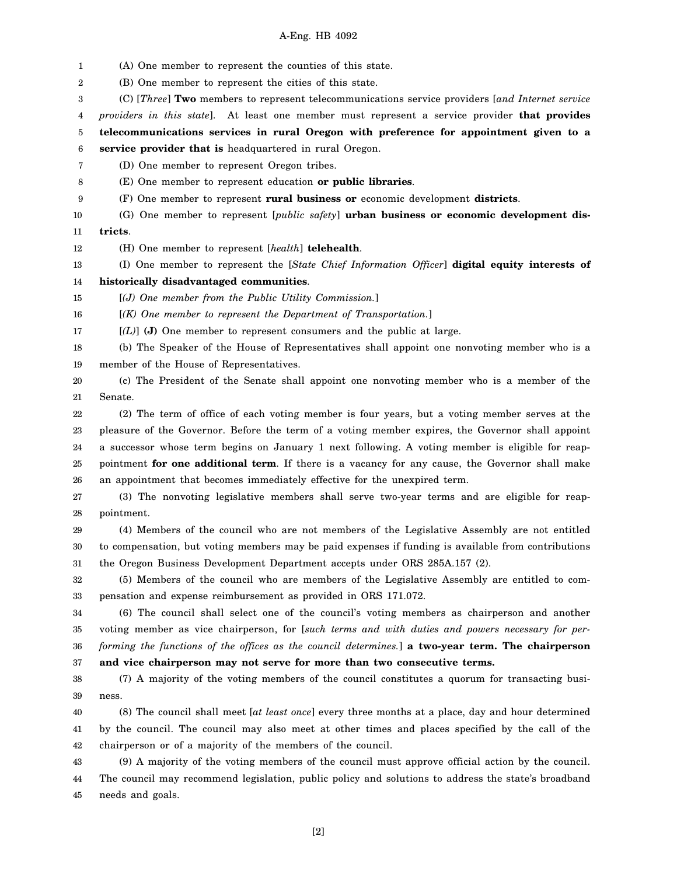1 (A) One member to represent the counties of this state.

2 (B) One member to represent the cities of this state.

3 (C) [*Three*] **Two** members to represent telecommunications service providers [*and Internet service*

4 *providers in this state*]. At least one member must represent a service provider **that provides**

5 **telecommunications services in rural Oregon with preference for appointment given to a**

6 **service provider that is** headquartered in rural Oregon.

7 (D) One member to represent Oregon tribes.

8 (E) One member to represent education **or public libraries**.

9 (F) One member to represent **rural business or** economic development **districts**.

10 11 (G) One member to represent [*public safety*] **urban business or economic development districts**.

12 (H) One member to represent [*health*] **telehealth**.

13 (I) One member to represent the [*State Chief Information Officer*] **digital equity interests of**

14 **historically disadvantaged communities**.

15 [*(J) One member from the Public Utility Commission.*]

16 [*(K) One member to represent the Department of Transportation.*]

17 [*(L)*] **(J)** One member to represent consumers and the public at large.

18 19 (b) The Speaker of the House of Representatives shall appoint one nonvoting member who is a member of the House of Representatives.

20 21 (c) The President of the Senate shall appoint one nonvoting member who is a member of the Senate.

22 23 24 25 26 (2) The term of office of each voting member is four years, but a voting member serves at the pleasure of the Governor. Before the term of a voting member expires, the Governor shall appoint a successor whose term begins on January 1 next following. A voting member is eligible for reappointment **for one additional term**. If there is a vacancy for any cause, the Governor shall make an appointment that becomes immediately effective for the unexpired term.

27 28 (3) The nonvoting legislative members shall serve two-year terms and are eligible for reappointment.

29 30 31 (4) Members of the council who are not members of the Legislative Assembly are not entitled to compensation, but voting members may be paid expenses if funding is available from contributions the Oregon Business Development Department accepts under ORS 285A.157 (2).

32 33 (5) Members of the council who are members of the Legislative Assembly are entitled to compensation and expense reimbursement as provided in ORS 171.072.

34 35 36 37 (6) The council shall select one of the council's voting members as chairperson and another voting member as vice chairperson, for [*such terms and with duties and powers necessary for performing the functions of the offices as the council determines.*] **a two-year term. The chairperson and vice chairperson may not serve for more than two consecutive terms.**

38 39 (7) A majority of the voting members of the council constitutes a quorum for transacting business.

40 41 42 (8) The council shall meet [*at least once*] every three months at a place, day and hour determined by the council. The council may also meet at other times and places specified by the call of the chairperson or of a majority of the members of the council.

43 44 45 (9) A majority of the voting members of the council must approve official action by the council. The council may recommend legislation, public policy and solutions to address the state's broadband needs and goals.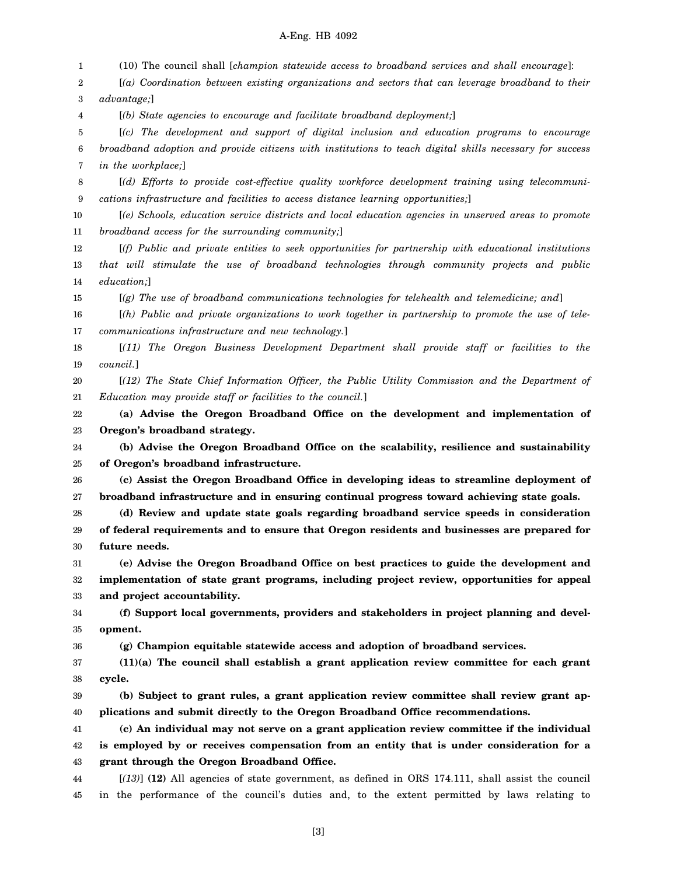1 2 3 4 5 6 7 8 9 10 11 12 13 14 15 16 17 18 19 20 21 22 23 24 25 26 27 28 29 30 31 32 33 34 35 36 37 38 39 40 41 42 43 44 45 (10) The council shall [*champion statewide access to broadband services and shall encourage*]: [*(a) Coordination between existing organizations and sectors that can leverage broadband to their advantage;*] [*(b) State agencies to encourage and facilitate broadband deployment;*] [*(c) The development and support of digital inclusion and education programs to encourage broadband adoption and provide citizens with institutions to teach digital skills necessary for success in the workplace;*] [*(d) Efforts to provide cost-effective quality workforce development training using telecommunications infrastructure and facilities to access distance learning opportunities;*] [*(e) Schools, education service districts and local education agencies in unserved areas to promote broadband access for the surrounding community;*] [*(f) Public and private entities to seek opportunities for partnership with educational institutions that will stimulate the use of broadband technologies through community projects and public education;*] [*(g) The use of broadband communications technologies for telehealth and telemedicine; and*] [*(h) Public and private organizations to work together in partnership to promote the use of telecommunications infrastructure and new technology.*] [*(11) The Oregon Business Development Department shall provide staff or facilities to the council.*] [*(12) The State Chief Information Officer, the Public Utility Commission and the Department of Education may provide staff or facilities to the council.*] **(a) Advise the Oregon Broadband Office on the development and implementation of Oregon's broadband strategy. (b) Advise the Oregon Broadband Office on the scalability, resilience and sustainability of Oregon's broadband infrastructure. (c) Assist the Oregon Broadband Office in developing ideas to streamline deployment of broadband infrastructure and in ensuring continual progress toward achieving state goals. (d) Review and update state goals regarding broadband service speeds in consideration of federal requirements and to ensure that Oregon residents and businesses are prepared for future needs. (e) Advise the Oregon Broadband Office on best practices to guide the development and implementation of state grant programs, including project review, opportunities for appeal and project accountability. (f) Support local governments, providers and stakeholders in project planning and development. (g) Champion equitable statewide access and adoption of broadband services. (11)(a) The council shall establish a grant application review committee for each grant cycle. (b) Subject to grant rules, a grant application review committee shall review grant applications and submit directly to the Oregon Broadband Office recommendations. (c) An individual may not serve on a grant application review committee if the individual is employed by or receives compensation from an entity that is under consideration for a grant through the Oregon Broadband Office.** [*(13)*] **(12)** All agencies of state government, as defined in ORS 174.111, shall assist the council in the performance of the council's duties and, to the extent permitted by laws relating to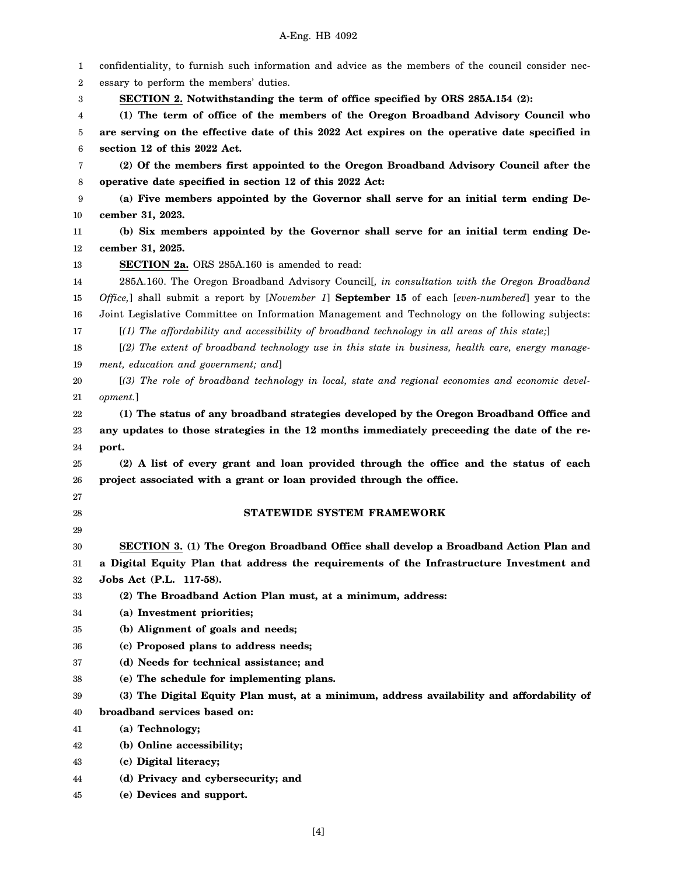| 1        | confidentiality, to furnish such information and advice as the members of the council consider nec- |
|----------|-----------------------------------------------------------------------------------------------------|
| 2        | essary to perform the members' duties.                                                              |
| 3        | SECTION 2. Notwithstanding the term of office specified by ORS 285A.154 (2):                        |
| 4        | (1) The term of office of the members of the Oregon Broadband Advisory Council who                  |
| 5        | are serving on the effective date of this 2022 Act expires on the operative date specified in       |
| 6        | section 12 of this 2022 Act.                                                                        |
| 7        | (2) Of the members first appointed to the Oregon Broadband Advisory Council after the               |
| 8        | operative date specified in section 12 of this 2022 Act:                                            |
| 9        | (a) Five members appointed by the Governor shall serve for an initial term ending De-               |
| 10       | cember 31, 2023.                                                                                    |
| 11       | (b) Six members appointed by the Governor shall serve for an initial term ending De-                |
| 12       | cember 31, 2025.                                                                                    |
| 13       | SECTION 2a. ORS 285A.160 is amended to read:                                                        |
| 14       | 285A.160. The Oregon Broadband Advisory Councill, in consultation with the Oregon Broadband         |
| 15       | Office,] shall submit a report by [November 1] September 15 of each [even-numbered] year to the     |
| 16       | Joint Legislative Committee on Information Management and Technology on the following subjects:     |
| 17       | $[(1)$ The affordability and accessibility of broadband technology in all areas of this state;      |
| 18       | [(2) The extent of broadband technology use in this state in business, health care, energy manage-  |
| 19       | ment, education and government; and]                                                                |
| 20       | [(3) The role of broadband technology in local, state and regional economies and economic devel-    |
| 21       | opment.]                                                                                            |
| 22       | (1) The status of any broadband strategies developed by the Oregon Broadband Office and             |
| 23       | any updates to those strategies in the 12 months immediately preceeding the date of the re-         |
| 24       | port.                                                                                               |
| 25       | (2) A list of every grant and loan provided through the office and the status of each               |
| 26       | project associated with a grant or loan provided through the office.                                |
| 27       |                                                                                                     |
| 28       | STATEWIDE SYSTEM FRAMEWORK                                                                          |
| 29       |                                                                                                     |
| 30       | SECTION 3. (1) The Oregon Broadband Office shall develop a Broadband Action Plan and                |
| 31       | a Digital Equity Plan that address the requirements of the Infrastructure Investment and            |
| 32       | Jobs Act (P.L. 117-58).                                                                             |
| 33       | (2) The Broadband Action Plan must, at a minimum, address:                                          |
| 34       | (a) Investment priorities;                                                                          |
| 35       | (b) Alignment of goals and needs;                                                                   |
| 36<br>37 | (c) Proposed plans to address needs;<br>(d) Needs for technical assistance; and                     |
| 38       | (e) The schedule for implementing plans.                                                            |
| 39       | (3) The Digital Equity Plan must, at a minimum, address availability and affordability of           |
| 40       | broadband services based on:                                                                        |
| 41       | (a) Technology;                                                                                     |
| 42       | (b) Online accessibility;                                                                           |
| 43       | (c) Digital literacy;                                                                               |
| 44       | (d) Privacy and cybersecurity; and                                                                  |
| 45       | (e) Devices and support.                                                                            |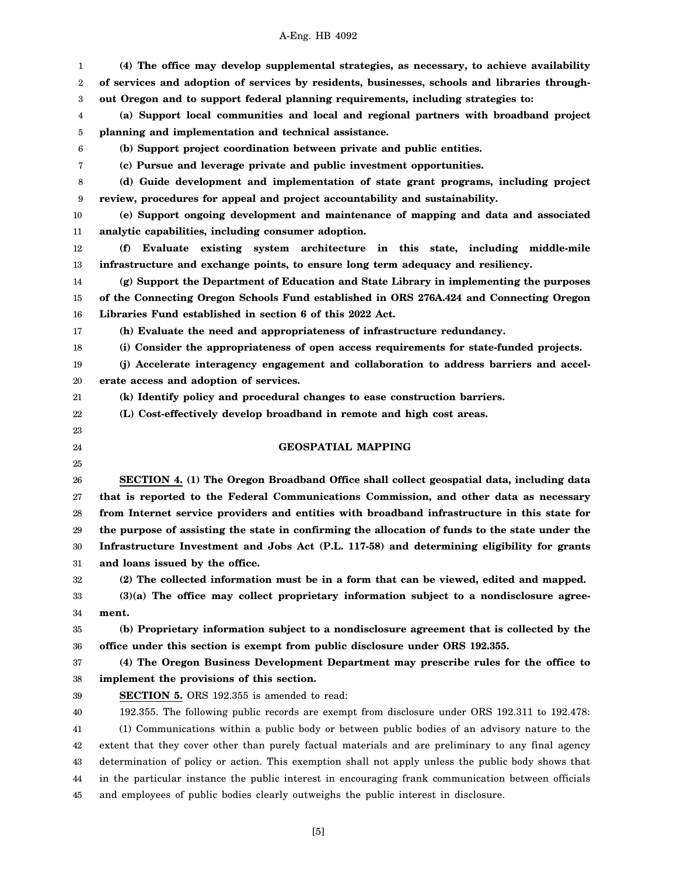1 2 3 4 5 6 7 8 9 10 11 12 13 14 15 16 17 18 19 20 21 22 23 24 25 26 27 28 29 30 31 32 33 34 35 36 37 38 39 40 41 42 43 44 45 **(4) The office may develop supplemental strategies, as necessary, to achieve availability of services and adoption of services by residents, businesses, schools and libraries throughout Oregon and to support federal planning requirements, including strategies to: (a) Support local communities and local and regional partners with broadband project planning and implementation and technical assistance. (b) Support project coordination between private and public entities. (c) Pursue and leverage private and public investment opportunities. (d) Guide development and implementation of state grant programs, including project review, procedures for appeal and project accountability and sustainability. (e) Support ongoing development and maintenance of mapping and data and associated analytic capabilities, including consumer adoption. (f) Evaluate existing system architecture in this state, including middle-mile infrastructure and exchange points, to ensure long term adequacy and resiliency. (g) Support the Department of Education and State Library in implementing the purposes of the Connecting Oregon Schools Fund established in ORS 276A.424 and Connecting Oregon Libraries Fund established in section 6 of this 2022 Act. (h) Evaluate the need and appropriateness of infrastructure redundancy. (i) Consider the appropriateness of open access requirements for state-funded projects. (j) Accelerate interagency engagement and collaboration to address barriers and accelerate access and adoption of services. (k) Identify policy and procedural changes to ease construction barriers. (L) Cost-effectively develop broadband in remote and high cost areas. GEOSPATIAL MAPPING SECTION 4. (1) The Oregon Broadband Office shall collect geospatial data, including data that is reported to the Federal Communications Commission, and other data as necessary from Internet service providers and entities with broadband infrastructure in this state for the purpose of assisting the state in confirming the allocation of funds to the state under the Infrastructure Investment and Jobs Act (P.L. 117-58) and determining eligibility for grants and loans issued by the office. (2) The collected information must be in a form that can be viewed, edited and mapped. (3)(a) The office may collect proprietary information subject to a nondisclosure agreement. (b) Proprietary information subject to a nondisclosure agreement that is collected by the office under this section is exempt from public disclosure under ORS 192.355. (4) The Oregon Business Development Department may prescribe rules for the office to implement the provisions of this section. SECTION 5.** ORS 192.355 is amended to read: 192.355. The following public records are exempt from disclosure under ORS 192.311 to 192.478: (1) Communications within a public body or between public bodies of an advisory nature to the extent that they cover other than purely factual materials and are preliminary to any final agency determination of policy or action. This exemption shall not apply unless the public body shows that in the particular instance the public interest in encouraging frank communication between officials and employees of public bodies clearly outweighs the public interest in disclosure.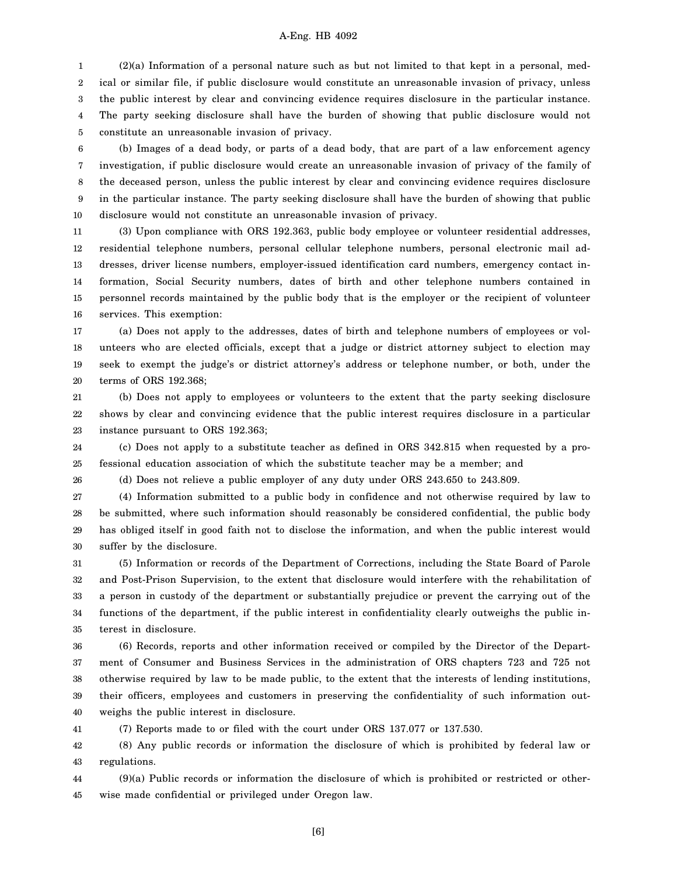1 2 3 4 5 (2)(a) Information of a personal nature such as but not limited to that kept in a personal, medical or similar file, if public disclosure would constitute an unreasonable invasion of privacy, unless the public interest by clear and convincing evidence requires disclosure in the particular instance. The party seeking disclosure shall have the burden of showing that public disclosure would not constitute an unreasonable invasion of privacy.

6 7 8 9 10 (b) Images of a dead body, or parts of a dead body, that are part of a law enforcement agency investigation, if public disclosure would create an unreasonable invasion of privacy of the family of the deceased person, unless the public interest by clear and convincing evidence requires disclosure in the particular instance. The party seeking disclosure shall have the burden of showing that public disclosure would not constitute an unreasonable invasion of privacy.

11 12 13 14 15 16 (3) Upon compliance with ORS 192.363, public body employee or volunteer residential addresses, residential telephone numbers, personal cellular telephone numbers, personal electronic mail addresses, driver license numbers, employer-issued identification card numbers, emergency contact information, Social Security numbers, dates of birth and other telephone numbers contained in personnel records maintained by the public body that is the employer or the recipient of volunteer services. This exemption:

17 18 19 20 (a) Does not apply to the addresses, dates of birth and telephone numbers of employees or volunteers who are elected officials, except that a judge or district attorney subject to election may seek to exempt the judge's or district attorney's address or telephone number, or both, under the terms of ORS 192.368;

21 22 23 (b) Does not apply to employees or volunteers to the extent that the party seeking disclosure shows by clear and convincing evidence that the public interest requires disclosure in a particular instance pursuant to ORS 192.363;

24 25 (c) Does not apply to a substitute teacher as defined in ORS 342.815 when requested by a professional education association of which the substitute teacher may be a member; and

26

(d) Does not relieve a public employer of any duty under ORS 243.650 to 243.809.

27 28 29 30 (4) Information submitted to a public body in confidence and not otherwise required by law to be submitted, where such information should reasonably be considered confidential, the public body has obliged itself in good faith not to disclose the information, and when the public interest would suffer by the disclosure.

31 32 33 34 35 (5) Information or records of the Department of Corrections, including the State Board of Parole and Post-Prison Supervision, to the extent that disclosure would interfere with the rehabilitation of a person in custody of the department or substantially prejudice or prevent the carrying out of the functions of the department, if the public interest in confidentiality clearly outweighs the public interest in disclosure.

36 37 38 39 40 (6) Records, reports and other information received or compiled by the Director of the Department of Consumer and Business Services in the administration of ORS chapters 723 and 725 not otherwise required by law to be made public, to the extent that the interests of lending institutions, their officers, employees and customers in preserving the confidentiality of such information outweighs the public interest in disclosure.

41 (7) Reports made to or filed with the court under ORS 137.077 or 137.530.

42 43 (8) Any public records or information the disclosure of which is prohibited by federal law or regulations.

44 45 (9)(a) Public records or information the disclosure of which is prohibited or restricted or otherwise made confidential or privileged under Oregon law.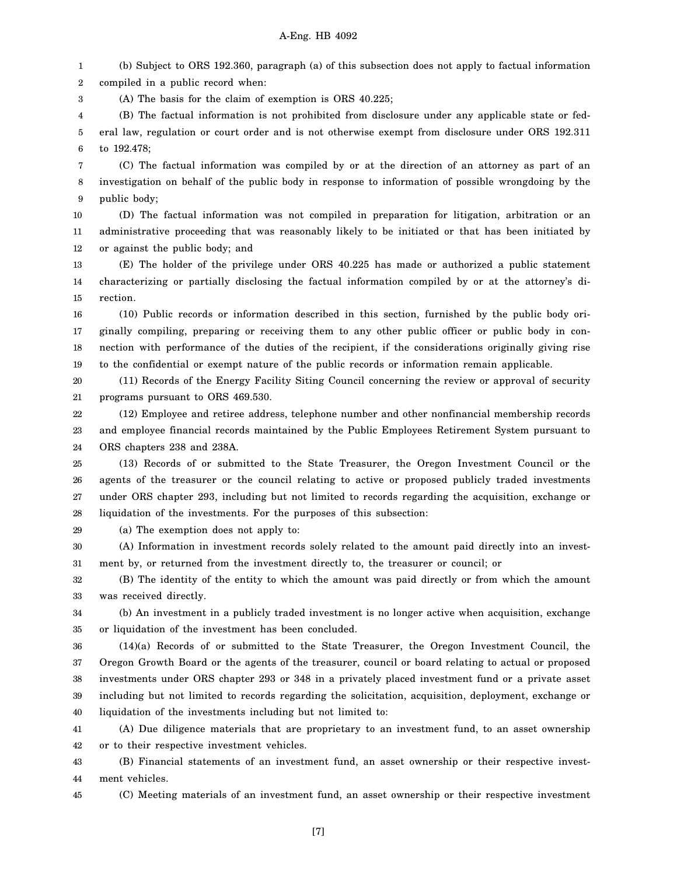1 2 (b) Subject to ORS 192.360, paragraph (a) of this subsection does not apply to factual information compiled in a public record when:

3 (A) The basis for the claim of exemption is ORS 40.225;

(a) The exemption does not apply to:

4 5 6 (B) The factual information is not prohibited from disclosure under any applicable state or federal law, regulation or court order and is not otherwise exempt from disclosure under ORS 192.311 to 192.478;

7 8 9 (C) The factual information was compiled by or at the direction of an attorney as part of an investigation on behalf of the public body in response to information of possible wrongdoing by the public body;

10 11 12 (D) The factual information was not compiled in preparation for litigation, arbitration or an administrative proceeding that was reasonably likely to be initiated or that has been initiated by or against the public body; and

13 14 15 (E) The holder of the privilege under ORS 40.225 has made or authorized a public statement characterizing or partially disclosing the factual information compiled by or at the attorney's direction.

16 17 18 19 (10) Public records or information described in this section, furnished by the public body originally compiling, preparing or receiving them to any other public officer or public body in connection with performance of the duties of the recipient, if the considerations originally giving rise to the confidential or exempt nature of the public records or information remain applicable.

20 21 (11) Records of the Energy Facility Siting Council concerning the review or approval of security programs pursuant to ORS 469.530.

22 23 24 (12) Employee and retiree address, telephone number and other nonfinancial membership records and employee financial records maintained by the Public Employees Retirement System pursuant to ORS chapters 238 and 238A.

25 26 27 28 (13) Records of or submitted to the State Treasurer, the Oregon Investment Council or the agents of the treasurer or the council relating to active or proposed publicly traded investments under ORS chapter 293, including but not limited to records regarding the acquisition, exchange or liquidation of the investments. For the purposes of this subsection:

29

30 31 (A) Information in investment records solely related to the amount paid directly into an investment by, or returned from the investment directly to, the treasurer or council; or

32 33 (B) The identity of the entity to which the amount was paid directly or from which the amount was received directly.

34 35 (b) An investment in a publicly traded investment is no longer active when acquisition, exchange or liquidation of the investment has been concluded.

36 37 38 39 40 (14)(a) Records of or submitted to the State Treasurer, the Oregon Investment Council, the Oregon Growth Board or the agents of the treasurer, council or board relating to actual or proposed investments under ORS chapter 293 or 348 in a privately placed investment fund or a private asset including but not limited to records regarding the solicitation, acquisition, deployment, exchange or liquidation of the investments including but not limited to:

41 42 (A) Due diligence materials that are proprietary to an investment fund, to an asset ownership or to their respective investment vehicles.

43 44 (B) Financial statements of an investment fund, an asset ownership or their respective investment vehicles.

45

(C) Meeting materials of an investment fund, an asset ownership or their respective investment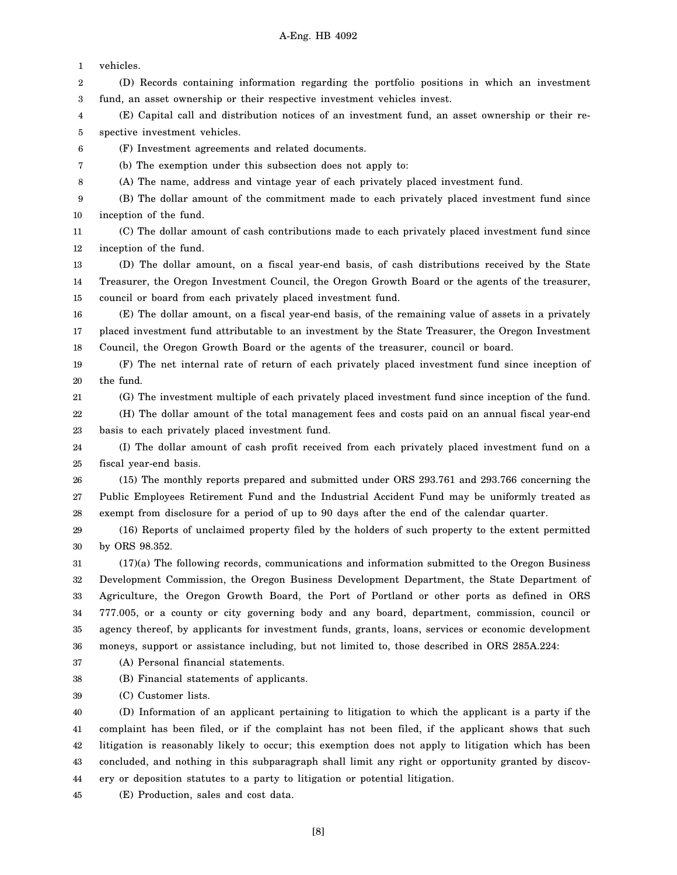| 1  | vehicles.                                                                                            |
|----|------------------------------------------------------------------------------------------------------|
| 2  | (D) Records containing information regarding the portfolio positions in which an investment          |
| 3  | fund, an asset ownership or their respective investment vehicles invest.                             |
| 4  | (E) Capital call and distribution notices of an investment fund, an asset ownership or their re-     |
| 5  | spective investment vehicles.                                                                        |
| 6  | (F) Investment agreements and related documents.                                                     |
| 7  | (b) The exemption under this subsection does not apply to:                                           |
| 8  | (A) The name, address and vintage year of each privately placed investment fund.                     |
| 9  | (B) The dollar amount of the commitment made to each privately placed investment fund since          |
| 10 | inception of the fund.                                                                               |
| 11 | (C) The dollar amount of cash contributions made to each privately placed investment fund since      |
| 12 | inception of the fund.                                                                               |
| 13 | (D) The dollar amount, on a fiscal year-end basis, of cash distributions received by the State       |
| 14 | Treasurer, the Oregon Investment Council, the Oregon Growth Board or the agents of the treasurer,    |
| 15 | council or board from each privately placed investment fund.                                         |
| 16 | (E) The dollar amount, on a fiscal year-end basis, of the remaining value of assets in a privately   |
| 17 | placed investment fund attributable to an investment by the State Treasurer, the Oregon Investment   |
| 18 | Council, the Oregon Growth Board or the agents of the treasurer, council or board.                   |
| 19 | (F) The net internal rate of return of each privately placed investment fund since inception of      |
| 20 | the fund.                                                                                            |
| 21 | (G) The investment multiple of each privately placed investment fund since inception of the fund.    |
| 22 | (H) The dollar amount of the total management fees and costs paid on an annual fiscal year-end       |
| 23 | basis to each privately placed investment fund.                                                      |
| 24 | (I) The dollar amount of cash profit received from each privately placed investment fund on a        |
| 25 | fiscal year-end basis.                                                                               |
| 26 | (15) The monthly reports prepared and submitted under ORS 293.761 and 293.766 concerning the         |
| 27 | Public Employees Retirement Fund and the Industrial Accident Fund may be uniformly treated as        |
| 28 | exempt from disclosure for a period of up to 90 days after the end of the calendar quarter.          |
| 29 | (16) Reports of unclaimed property filed by the holders of such property to the extent permitted     |
| 30 | by ORS 98.352.                                                                                       |
| 31 | (17)(a) The following records, communications and information submitted to the Oregon Business       |
| 32 | Development Commission, the Oregon Business Development Department, the State Department of          |
| 33 | Agriculture, the Oregon Growth Board, the Port of Portland or other ports as defined in ORS          |
| 34 | 777.005, or a county or city governing body and any board, department, commission, council or        |
| 35 | agency thereof, by applicants for investment funds, grants, loans, services or economic development  |
| 36 | moneys, support or assistance including, but not limited to, those described in ORS 285A.224:        |
| 37 | (A) Personal financial statements.                                                                   |
| 38 | (B) Financial statements of applicants.                                                              |
| 39 | (C) Customer lists.                                                                                  |
| 40 | (D) Information of an applicant pertaining to litigation to which the applicant is a party if the    |
| 41 | complaint has been filed, or if the complaint has not been filed, if the applicant shows that such   |
| 42 | litigation is reasonably likely to occur; this exemption does not apply to litigation which has been |
| 43 | concluded, and nothing in this subparagraph shall limit any right or opportunity granted by discov-  |

44 ery or deposition statutes to a party to litigation or potential litigation.

45 (E) Production, sales and cost data.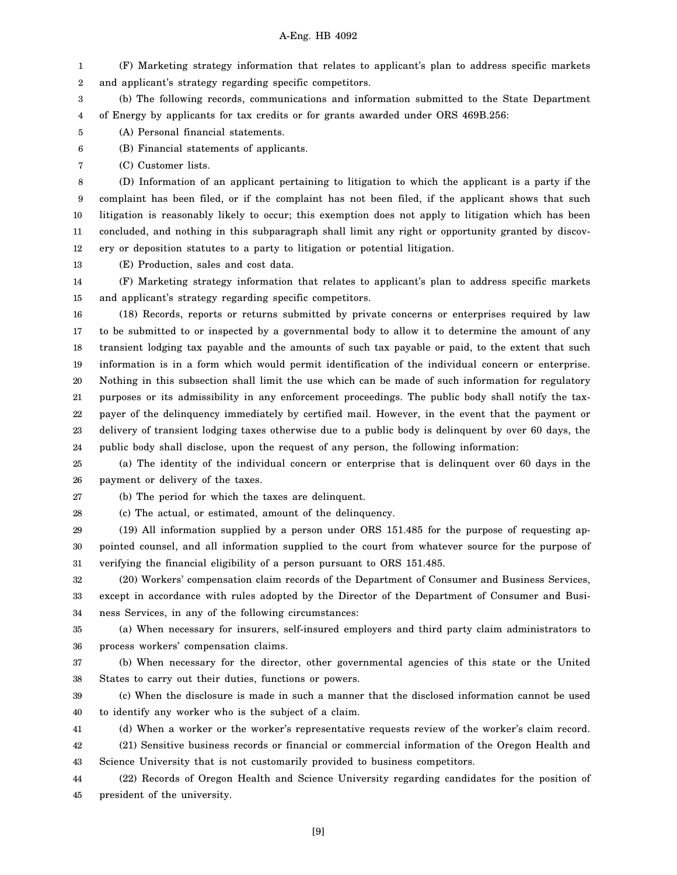1 2 (F) Marketing strategy information that relates to applicant's plan to address specific markets and applicant's strategy regarding specific competitors.

3 4 (b) The following records, communications and information submitted to the State Department of Energy by applicants for tax credits or for grants awarded under ORS 469B.256:

5 (A) Personal financial statements.

6 (B) Financial statements of applicants.

7 (C) Customer lists.

8 9 10 11 12 (D) Information of an applicant pertaining to litigation to which the applicant is a party if the complaint has been filed, or if the complaint has not been filed, if the applicant shows that such litigation is reasonably likely to occur; this exemption does not apply to litigation which has been concluded, and nothing in this subparagraph shall limit any right or opportunity granted by discovery or deposition statutes to a party to litigation or potential litigation.

13 (E) Production, sales and cost data.

14 15 (F) Marketing strategy information that relates to applicant's plan to address specific markets and applicant's strategy regarding specific competitors.

16 17 18 19 20 21 22 23 24 (18) Records, reports or returns submitted by private concerns or enterprises required by law to be submitted to or inspected by a governmental body to allow it to determine the amount of any transient lodging tax payable and the amounts of such tax payable or paid, to the extent that such information is in a form which would permit identification of the individual concern or enterprise. Nothing in this subsection shall limit the use which can be made of such information for regulatory purposes or its admissibility in any enforcement proceedings. The public body shall notify the taxpayer of the delinquency immediately by certified mail. However, in the event that the payment or delivery of transient lodging taxes otherwise due to a public body is delinquent by over 60 days, the public body shall disclose, upon the request of any person, the following information:

25 26 (a) The identity of the individual concern or enterprise that is delinquent over 60 days in the payment or delivery of the taxes.

27 (b) The period for which the taxes are delinquent.

28 (c) The actual, or estimated, amount of the delinquency.

29 30 31 (19) All information supplied by a person under ORS 151.485 for the purpose of requesting appointed counsel, and all information supplied to the court from whatever source for the purpose of verifying the financial eligibility of a person pursuant to ORS 151.485.

32 33 34 (20) Workers' compensation claim records of the Department of Consumer and Business Services, except in accordance with rules adopted by the Director of the Department of Consumer and Business Services, in any of the following circumstances:

35 36 (a) When necessary for insurers, self-insured employers and third party claim administrators to process workers' compensation claims.

37 38 (b) When necessary for the director, other governmental agencies of this state or the United States to carry out their duties, functions or powers.

39 40 (c) When the disclosure is made in such a manner that the disclosed information cannot be used to identify any worker who is the subject of a claim.

41 (d) When a worker or the worker's representative requests review of the worker's claim record.

42 43 (21) Sensitive business records or financial or commercial information of the Oregon Health and Science University that is not customarily provided to business competitors.

44 45 (22) Records of Oregon Health and Science University regarding candidates for the position of president of the university.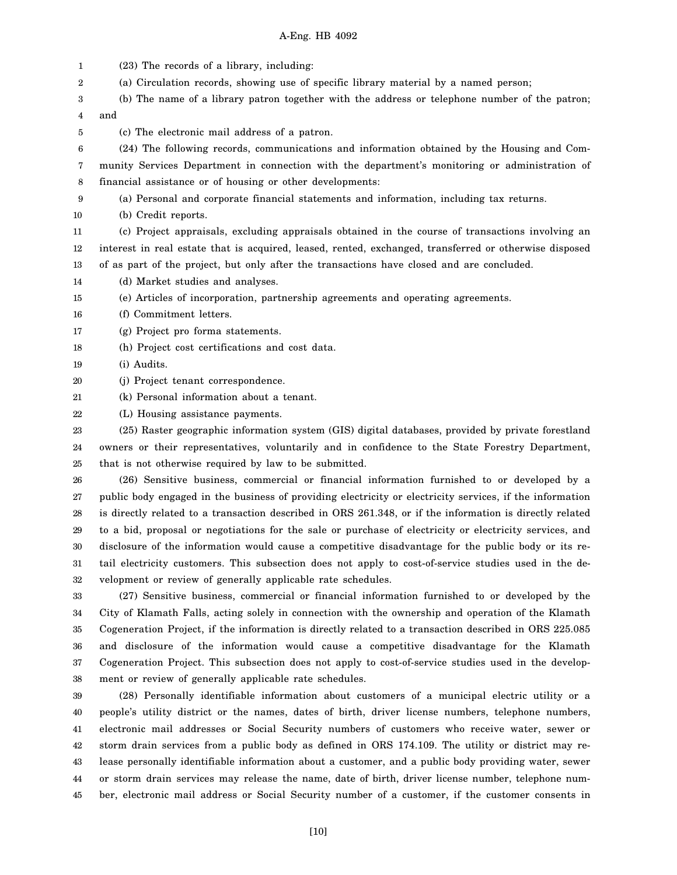1 2 3 4 5 6 7 8 9 10 11 12 13 14 15 16 17 18 19 20 21 22 23 24 25 26 27 28 29 30 31 32 33 34 35 36 37 38 39 40 41 42 43 44 (23) The records of a library, including: (a) Circulation records, showing use of specific library material by a named person; (b) The name of a library patron together with the address or telephone number of the patron; and (c) The electronic mail address of a patron. (24) The following records, communications and information obtained by the Housing and Community Services Department in connection with the department's monitoring or administration of financial assistance or of housing or other developments: (a) Personal and corporate financial statements and information, including tax returns. (b) Credit reports. (c) Project appraisals, excluding appraisals obtained in the course of transactions involving an interest in real estate that is acquired, leased, rented, exchanged, transferred or otherwise disposed of as part of the project, but only after the transactions have closed and are concluded. (d) Market studies and analyses. (e) Articles of incorporation, partnership agreements and operating agreements. (f) Commitment letters. (g) Project pro forma statements. (h) Project cost certifications and cost data. (i) Audits. (j) Project tenant correspondence. (k) Personal information about a tenant. (L) Housing assistance payments. (25) Raster geographic information system (GIS) digital databases, provided by private forestland owners or their representatives, voluntarily and in confidence to the State Forestry Department, that is not otherwise required by law to be submitted. (26) Sensitive business, commercial or financial information furnished to or developed by a public body engaged in the business of providing electricity or electricity services, if the information is directly related to a transaction described in ORS 261.348, or if the information is directly related to a bid, proposal or negotiations for the sale or purchase of electricity or electricity services, and disclosure of the information would cause a competitive disadvantage for the public body or its retail electricity customers. This subsection does not apply to cost-of-service studies used in the development or review of generally applicable rate schedules. (27) Sensitive business, commercial or financial information furnished to or developed by the City of Klamath Falls, acting solely in connection with the ownership and operation of the Klamath Cogeneration Project, if the information is directly related to a transaction described in ORS 225.085 and disclosure of the information would cause a competitive disadvantage for the Klamath Cogeneration Project. This subsection does not apply to cost-of-service studies used in the development or review of generally applicable rate schedules. (28) Personally identifiable information about customers of a municipal electric utility or a people's utility district or the names, dates of birth, driver license numbers, telephone numbers, electronic mail addresses or Social Security numbers of customers who receive water, sewer or storm drain services from a public body as defined in ORS 174.109. The utility or district may release personally identifiable information about a customer, and a public body providing water, sewer or storm drain services may release the name, date of birth, driver license number, telephone num-

ber, electronic mail address or Social Security number of a customer, if the customer consents in

45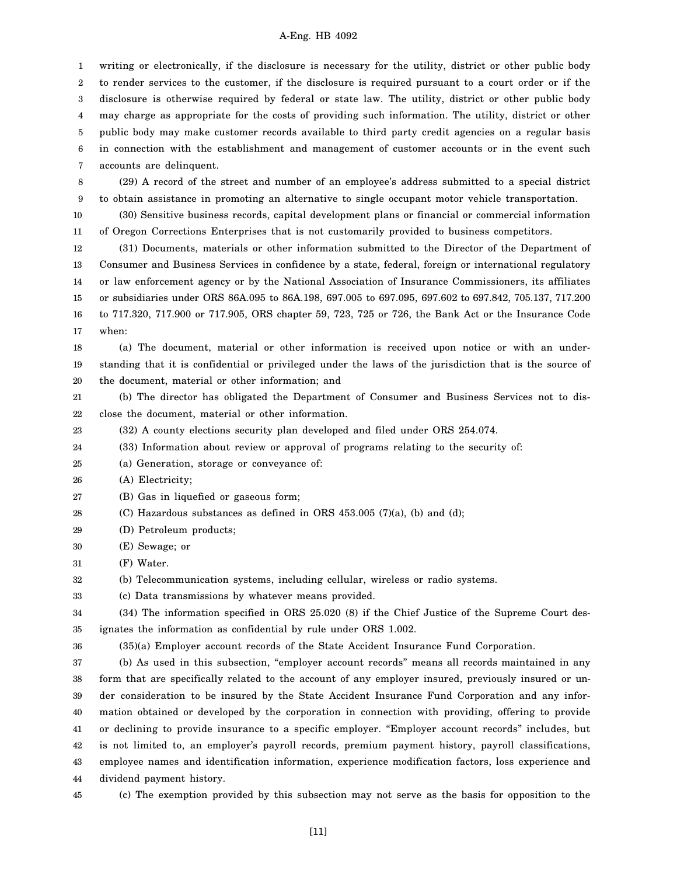1 2 3 4 5 6 7 writing or electronically, if the disclosure is necessary for the utility, district or other public body to render services to the customer, if the disclosure is required pursuant to a court order or if the disclosure is otherwise required by federal or state law. The utility, district or other public body may charge as appropriate for the costs of providing such information. The utility, district or other public body may make customer records available to third party credit agencies on a regular basis in connection with the establishment and management of customer accounts or in the event such accounts are delinquent.

8 9 (29) A record of the street and number of an employee's address submitted to a special district to obtain assistance in promoting an alternative to single occupant motor vehicle transportation.

10 11 (30) Sensitive business records, capital development plans or financial or commercial information of Oregon Corrections Enterprises that is not customarily provided to business competitors.

12 13 14 15 16 17 (31) Documents, materials or other information submitted to the Director of the Department of Consumer and Business Services in confidence by a state, federal, foreign or international regulatory or law enforcement agency or by the National Association of Insurance Commissioners, its affiliates or subsidiaries under ORS 86A.095 to 86A.198, 697.005 to 697.095, 697.602 to 697.842, 705.137, 717.200 to 717.320, 717.900 or 717.905, ORS chapter 59, 723, 725 or 726, the Bank Act or the Insurance Code when:

18 19 20 (a) The document, material or other information is received upon notice or with an understanding that it is confidential or privileged under the laws of the jurisdiction that is the source of the document, material or other information; and

21 22 (b) The director has obligated the Department of Consumer and Business Services not to disclose the document, material or other information.

23 (32) A county elections security plan developed and filed under ORS 254.074.

- 24 (33) Information about review or approval of programs relating to the security of:
- 25 (a) Generation, storage or conveyance of:

26 (A) Electricity;

- 27 (B) Gas in liquefied or gaseous form;
- 28 (C) Hazardous substances as defined in ORS  $453.005$  (7)(a), (b) and (d);
- 29 (D) Petroleum products;
- 30 (E) Sewage; or
- 31 (F) Water.

32 (b) Telecommunication systems, including cellular, wireless or radio systems.

33 (c) Data transmissions by whatever means provided.

#### 34 35 (34) The information specified in ORS 25.020 (8) if the Chief Justice of the Supreme Court designates the information as confidential by rule under ORS 1.002.

36 (35)(a) Employer account records of the State Accident Insurance Fund Corporation.

37 38 39 40 41 42 43 44 (b) As used in this subsection, "employer account records" means all records maintained in any form that are specifically related to the account of any employer insured, previously insured or under consideration to be insured by the State Accident Insurance Fund Corporation and any information obtained or developed by the corporation in connection with providing, offering to provide or declining to provide insurance to a specific employer. "Employer account records" includes, but is not limited to, an employer's payroll records, premium payment history, payroll classifications, employee names and identification information, experience modification factors, loss experience and dividend payment history.

45

(c) The exemption provided by this subsection may not serve as the basis for opposition to the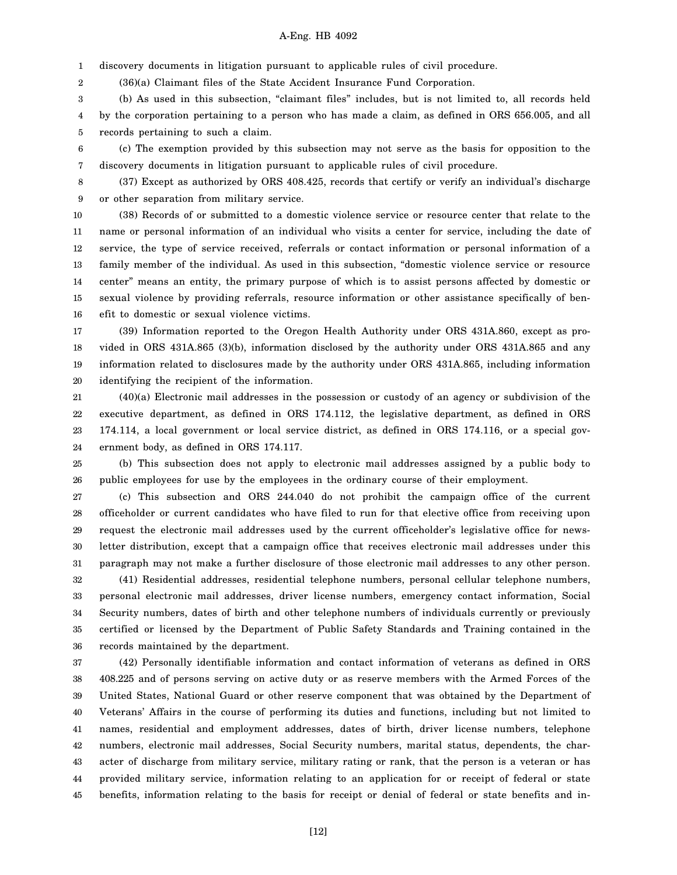1 discovery documents in litigation pursuant to applicable rules of civil procedure.

2 (36)(a) Claimant files of the State Accident Insurance Fund Corporation.

3 4 5 (b) As used in this subsection, "claimant files" includes, but is not limited to, all records held by the corporation pertaining to a person who has made a claim, as defined in ORS 656.005, and all records pertaining to such a claim.

6 7 (c) The exemption provided by this subsection may not serve as the basis for opposition to the discovery documents in litigation pursuant to applicable rules of civil procedure.

8 9 (37) Except as authorized by ORS 408.425, records that certify or verify an individual's discharge or other separation from military service.

10 11 12 13 14 15 16 (38) Records of or submitted to a domestic violence service or resource center that relate to the name or personal information of an individual who visits a center for service, including the date of service, the type of service received, referrals or contact information or personal information of a family member of the individual. As used in this subsection, "domestic violence service or resource center" means an entity, the primary purpose of which is to assist persons affected by domestic or sexual violence by providing referrals, resource information or other assistance specifically of benefit to domestic or sexual violence victims.

17 18 19 20 (39) Information reported to the Oregon Health Authority under ORS 431A.860, except as provided in ORS 431A.865 (3)(b), information disclosed by the authority under ORS 431A.865 and any information related to disclosures made by the authority under ORS 431A.865, including information identifying the recipient of the information.

21 22 23 24 (40)(a) Electronic mail addresses in the possession or custody of an agency or subdivision of the executive department, as defined in ORS 174.112, the legislative department, as defined in ORS 174.114, a local government or local service district, as defined in ORS 174.116, or a special government body, as defined in ORS 174.117.

25 26 (b) This subsection does not apply to electronic mail addresses assigned by a public body to public employees for use by the employees in the ordinary course of their employment.

27 28 29 30 31 (c) This subsection and ORS 244.040 do not prohibit the campaign office of the current officeholder or current candidates who have filed to run for that elective office from receiving upon request the electronic mail addresses used by the current officeholder's legislative office for newsletter distribution, except that a campaign office that receives electronic mail addresses under this paragraph may not make a further disclosure of those electronic mail addresses to any other person.

32 33 34 35 36 (41) Residential addresses, residential telephone numbers, personal cellular telephone numbers, personal electronic mail addresses, driver license numbers, emergency contact information, Social Security numbers, dates of birth and other telephone numbers of individuals currently or previously certified or licensed by the Department of Public Safety Standards and Training contained in the records maintained by the department.

37 38 39 40 41 42 43 44 45 (42) Personally identifiable information and contact information of veterans as defined in ORS 408.225 and of persons serving on active duty or as reserve members with the Armed Forces of the United States, National Guard or other reserve component that was obtained by the Department of Veterans' Affairs in the course of performing its duties and functions, including but not limited to names, residential and employment addresses, dates of birth, driver license numbers, telephone numbers, electronic mail addresses, Social Security numbers, marital status, dependents, the character of discharge from military service, military rating or rank, that the person is a veteran or has provided military service, information relating to an application for or receipt of federal or state benefits, information relating to the basis for receipt or denial of federal or state benefits and in-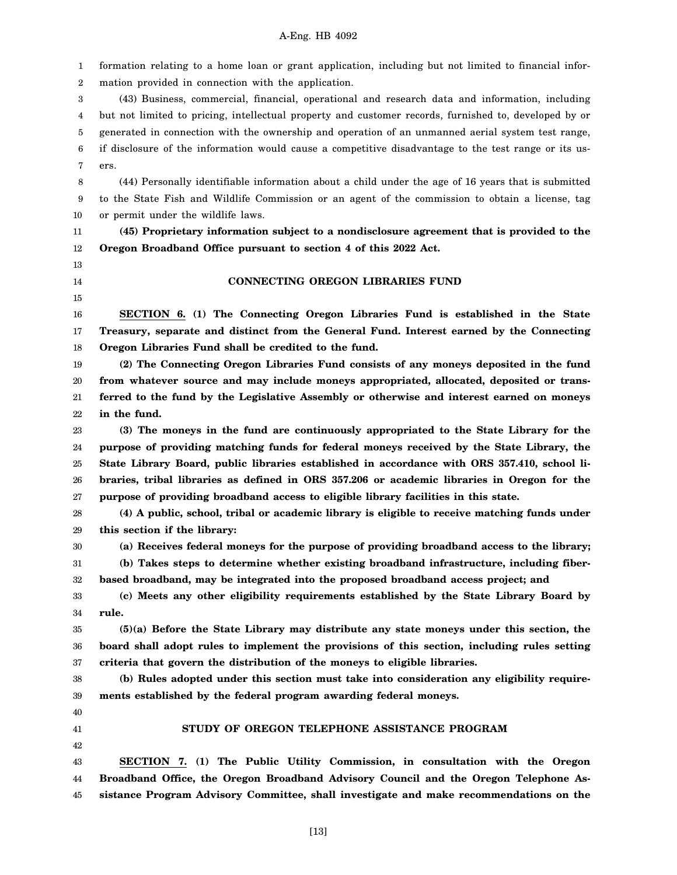1 2 3 4 5 6 7 8 9 10 11 12 13 14 15 16 17 18 19 20 21 22 23 24 25 26 27 28 29 30 31 32 33 34 35 36 37 38 39 40 41 42 43 44 45 formation relating to a home loan or grant application, including but not limited to financial information provided in connection with the application. (43) Business, commercial, financial, operational and research data and information, including but not limited to pricing, intellectual property and customer records, furnished to, developed by or generated in connection with the ownership and operation of an unmanned aerial system test range, if disclosure of the information would cause a competitive disadvantage to the test range or its users. (44) Personally identifiable information about a child under the age of 16 years that is submitted to the State Fish and Wildlife Commission or an agent of the commission to obtain a license, tag or permit under the wildlife laws. **(45) Proprietary information subject to a nondisclosure agreement that is provided to the Oregon Broadband Office pursuant to section 4 of this 2022 Act. CONNECTING OREGON LIBRARIES FUND SECTION 6. (1) The Connecting Oregon Libraries Fund is established in the State Treasury, separate and distinct from the General Fund. Interest earned by the Connecting Oregon Libraries Fund shall be credited to the fund. (2) The Connecting Oregon Libraries Fund consists of any moneys deposited in the fund from whatever source and may include moneys appropriated, allocated, deposited or transferred to the fund by the Legislative Assembly or otherwise and interest earned on moneys in the fund. (3) The moneys in the fund are continuously appropriated to the State Library for the purpose of providing matching funds for federal moneys received by the State Library, the State Library Board, public libraries established in accordance with ORS 357.410, school libraries, tribal libraries as defined in ORS 357.206 or academic libraries in Oregon for the purpose of providing broadband access to eligible library facilities in this state. (4) A public, school, tribal or academic library is eligible to receive matching funds under this section if the library: (a) Receives federal moneys for the purpose of providing broadband access to the library; (b) Takes steps to determine whether existing broadband infrastructure, including fiberbased broadband, may be integrated into the proposed broadband access project; and (c) Meets any other eligibility requirements established by the State Library Board by rule. (5)(a) Before the State Library may distribute any state moneys under this section, the board shall adopt rules to implement the provisions of this section, including rules setting criteria that govern the distribution of the moneys to eligible libraries. (b) Rules adopted under this section must take into consideration any eligibility requirements established by the federal program awarding federal moneys. STUDY OF OREGON TELEPHONE ASSISTANCE PROGRAM SECTION 7. (1) The Public Utility Commission, in consultation with the Oregon Broadband Office, the Oregon Broadband Advisory Council and the Oregon Telephone Assistance Program Advisory Committee, shall investigate and make recommendations on the**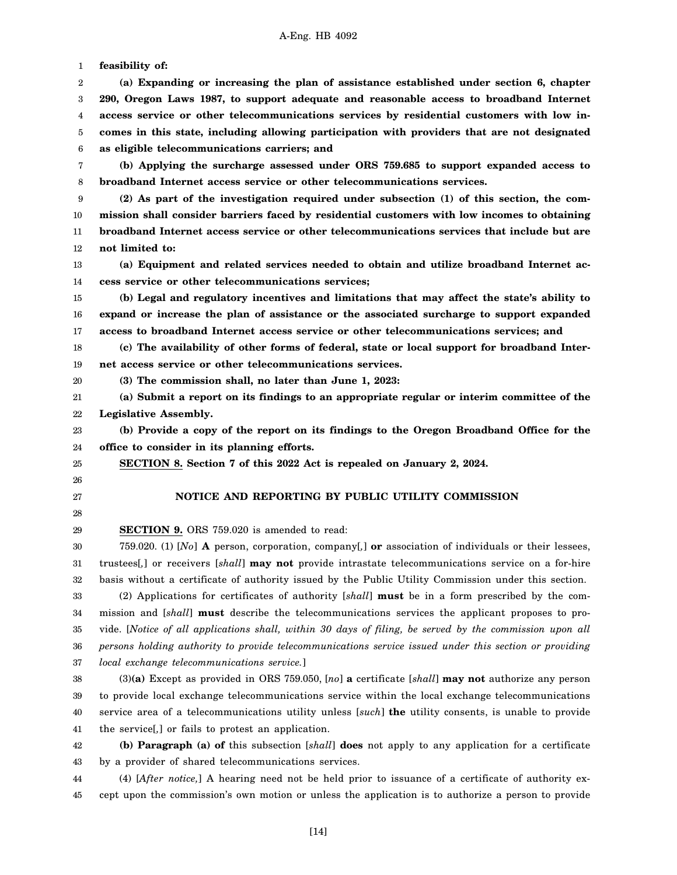1 2 3 4 5 6 7 8 9 10 11 12 13 14 15 16 17 18 19 20 21 22 23 24 25 26 27 28 29 30 31 32 33 34 35 36 37 38 39 40 41 42 43 44 45 **feasibility of: (a) Expanding or increasing the plan of assistance established under section 6, chapter 290, Oregon Laws 1987, to support adequate and reasonable access to broadband Internet access service or other telecommunications services by residential customers with low incomes in this state, including allowing participation with providers that are not designated as eligible telecommunications carriers; and (b) Applying the surcharge assessed under ORS 759.685 to support expanded access to broadband Internet access service or other telecommunications services. (2) As part of the investigation required under subsection (1) of this section, the commission shall consider barriers faced by residential customers with low incomes to obtaining broadband Internet access service or other telecommunications services that include but are not limited to: (a) Equipment and related services needed to obtain and utilize broadband Internet access service or other telecommunications services; (b) Legal and regulatory incentives and limitations that may affect the state's ability to expand or increase the plan of assistance or the associated surcharge to support expanded access to broadband Internet access service or other telecommunications services; and (c) The availability of other forms of federal, state or local support for broadband Internet access service or other telecommunications services. (3) The commission shall, no later than June 1, 2023: (a) Submit a report on its findings to an appropriate regular or interim committee of the Legislative Assembly. (b) Provide a copy of the report on its findings to the Oregon Broadband Office for the office to consider in its planning efforts. SECTION 8. Section 7 of this 2022 Act is repealed on January 2, 2024. NOTICE AND REPORTING BY PUBLIC UTILITY COMMISSION SECTION 9.** ORS 759.020 is amended to read: 759.020. (1) [*No*] **A** person, corporation, company[*,*] **or** association of individuals or their lessees, trustees[*,*] or receivers [*shall*] **may not** provide intrastate telecommunications service on a for-hire basis without a certificate of authority issued by the Public Utility Commission under this section. (2) Applications for certificates of authority [*shall*] **must** be in a form prescribed by the commission and [*shall*] **must** describe the telecommunications services the applicant proposes to provide. [*Notice of all applications shall, within 30 days of filing, be served by the commission upon all persons holding authority to provide telecommunications service issued under this section or providing local exchange telecommunications service.*] (3)**(a)** Except as provided in ORS 759.050, [*no*] **a** certificate [*shall*] **may not** authorize any person to provide local exchange telecommunications service within the local exchange telecommunications service area of a telecommunications utility unless [*such*] **the** utility consents, is unable to provide the service[*,*] or fails to protest an application. **(b) Paragraph (a) of** this subsection [*shall*] **does** not apply to any application for a certificate by a provider of shared telecommunications services. (4) [*After notice,*] A hearing need not be held prior to issuance of a certificate of authority except upon the commission's own motion or unless the application is to authorize a person to provide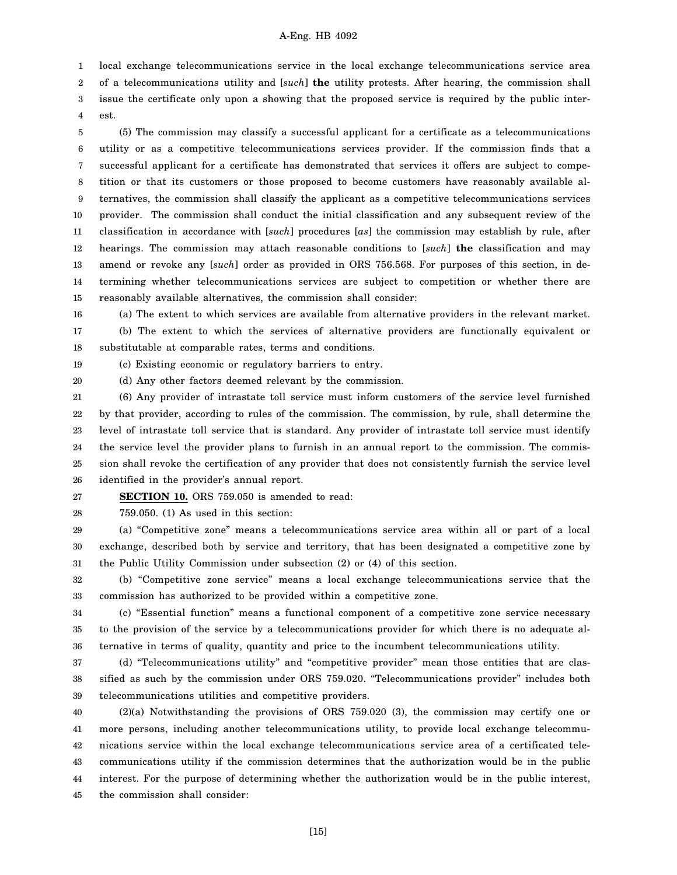local exchange telecommunications service in the local exchange telecommunications service area

2 3 of a telecommunications utility and [*such*] **the** utility protests. After hearing, the commission shall issue the certificate only upon a showing that the proposed service is required by the public interest.

4

1

5 6 7 8 9 10 11 12 13 14 15 (5) The commission may classify a successful applicant for a certificate as a telecommunications utility or as a competitive telecommunications services provider. If the commission finds that a successful applicant for a certificate has demonstrated that services it offers are subject to competition or that its customers or those proposed to become customers have reasonably available alternatives, the commission shall classify the applicant as a competitive telecommunications services provider. The commission shall conduct the initial classification and any subsequent review of the classification in accordance with [*such*] procedures [*as*] the commission may establish by rule, after hearings. The commission may attach reasonable conditions to [*such*] **the** classification and may amend or revoke any [*such*] order as provided in ORS 756.568. For purposes of this section, in determining whether telecommunications services are subject to competition or whether there are reasonably available alternatives, the commission shall consider:

16 17 18 (a) The extent to which services are available from alternative providers in the relevant market. (b) The extent to which the services of alternative providers are functionally equivalent or substitutable at comparable rates, terms and conditions.

19 (c) Existing economic or regulatory barriers to entry.

20 (d) Any other factors deemed relevant by the commission.

21 22 23 24 25 26 (6) Any provider of intrastate toll service must inform customers of the service level furnished by that provider, according to rules of the commission. The commission, by rule, shall determine the level of intrastate toll service that is standard. Any provider of intrastate toll service must identify the service level the provider plans to furnish in an annual report to the commission. The commission shall revoke the certification of any provider that does not consistently furnish the service level identified in the provider's annual report.

27 **SECTION 10.** ORS 759.050 is amended to read:

28

759.050. (1) As used in this section:

29 30 31 (a) "Competitive zone" means a telecommunications service area within all or part of a local exchange, described both by service and territory, that has been designated a competitive zone by the Public Utility Commission under subsection (2) or (4) of this section.

32 33 (b) "Competitive zone service" means a local exchange telecommunications service that the commission has authorized to be provided within a competitive zone.

34 35 36 (c) "Essential function" means a functional component of a competitive zone service necessary to the provision of the service by a telecommunications provider for which there is no adequate alternative in terms of quality, quantity and price to the incumbent telecommunications utility.

37 38 39 (d) "Telecommunications utility" and "competitive provider" mean those entities that are classified as such by the commission under ORS 759.020. "Telecommunications provider" includes both telecommunications utilities and competitive providers.

40 41 42 43 44 45 (2)(a) Notwithstanding the provisions of ORS 759.020 (3), the commission may certify one or more persons, including another telecommunications utility, to provide local exchange telecommunications service within the local exchange telecommunications service area of a certificated telecommunications utility if the commission determines that the authorization would be in the public interest. For the purpose of determining whether the authorization would be in the public interest, the commission shall consider: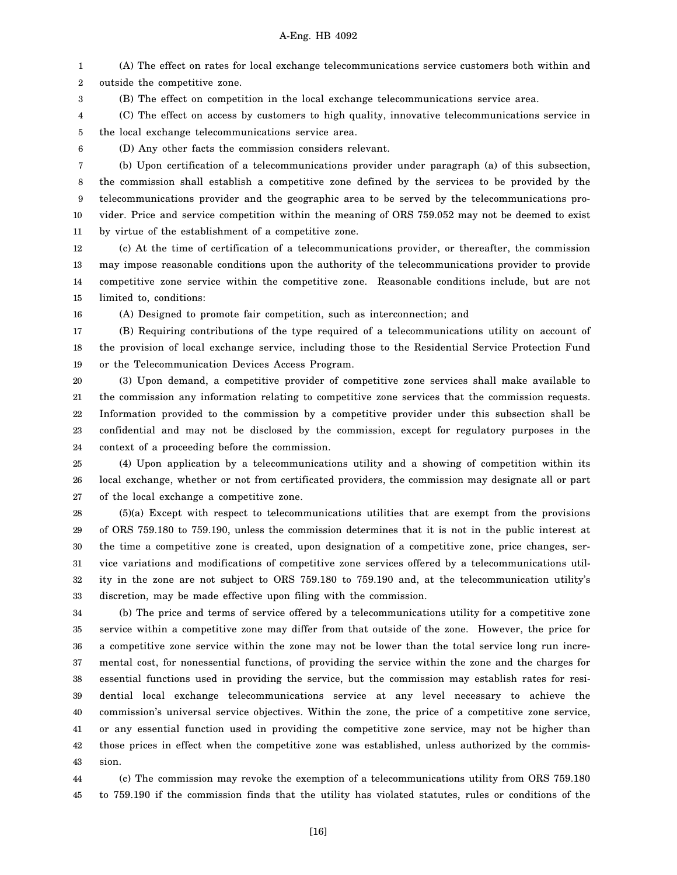1 2 (A) The effect on rates for local exchange telecommunications service customers both within and outside the competitive zone.

3 (B) The effect on competition in the local exchange telecommunications service area.

4 5 (C) The effect on access by customers to high quality, innovative telecommunications service in the local exchange telecommunications service area.

6

(D) Any other facts the commission considers relevant.

7 8 9 10 11 (b) Upon certification of a telecommunications provider under paragraph (a) of this subsection, the commission shall establish a competitive zone defined by the services to be provided by the telecommunications provider and the geographic area to be served by the telecommunications provider. Price and service competition within the meaning of ORS 759.052 may not be deemed to exist by virtue of the establishment of a competitive zone.

12 13 14 15 (c) At the time of certification of a telecommunications provider, or thereafter, the commission may impose reasonable conditions upon the authority of the telecommunications provider to provide competitive zone service within the competitive zone. Reasonable conditions include, but are not limited to, conditions:

16 (A) Designed to promote fair competition, such as interconnection; and

17 18 19 (B) Requiring contributions of the type required of a telecommunications utility on account of the provision of local exchange service, including those to the Residential Service Protection Fund or the Telecommunication Devices Access Program.

20 21 22 23 24 (3) Upon demand, a competitive provider of competitive zone services shall make available to the commission any information relating to competitive zone services that the commission requests. Information provided to the commission by a competitive provider under this subsection shall be confidential and may not be disclosed by the commission, except for regulatory purposes in the context of a proceeding before the commission.

25 26 27 (4) Upon application by a telecommunications utility and a showing of competition within its local exchange, whether or not from certificated providers, the commission may designate all or part of the local exchange a competitive zone.

28 29 30 31 32 33 (5)(a) Except with respect to telecommunications utilities that are exempt from the provisions of ORS 759.180 to 759.190, unless the commission determines that it is not in the public interest at the time a competitive zone is created, upon designation of a competitive zone, price changes, service variations and modifications of competitive zone services offered by a telecommunications utility in the zone are not subject to ORS 759.180 to 759.190 and, at the telecommunication utility's discretion, may be made effective upon filing with the commission.

34 35 36 37 38 39 40 41 42 43 (b) The price and terms of service offered by a telecommunications utility for a competitive zone service within a competitive zone may differ from that outside of the zone. However, the price for a competitive zone service within the zone may not be lower than the total service long run incremental cost, for nonessential functions, of providing the service within the zone and the charges for essential functions used in providing the service, but the commission may establish rates for residential local exchange telecommunications service at any level necessary to achieve the commission's universal service objectives. Within the zone, the price of a competitive zone service, or any essential function used in providing the competitive zone service, may not be higher than those prices in effect when the competitive zone was established, unless authorized by the commission.

44 45 (c) The commission may revoke the exemption of a telecommunications utility from ORS 759.180 to 759.190 if the commission finds that the utility has violated statutes, rules or conditions of the